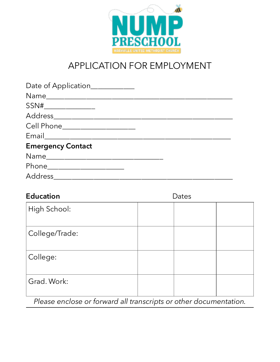

## APPLICATION FOR EMPLOYMENT

| <b>Education</b> | Dates |  |  |
|------------------|-------|--|--|
| High School:     |       |  |  |
| College/Trade:   |       |  |  |
| College:         |       |  |  |
| Grad. Work:      |       |  |  |

*Please enclose or forward all transcripts or other documentation.*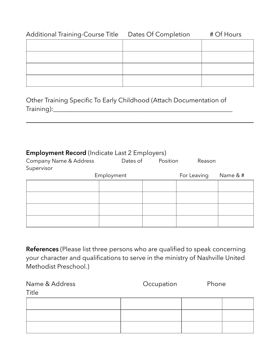| Additional Training-Course Title Dates Of Completion | # Of Hours |
|------------------------------------------------------|------------|
|                                                      |            |
|                                                      |            |
|                                                      |            |
|                                                      |            |
|                                                      |            |

Other Training Specific To Early Childhood (Attach Documentation of Training):\_\_\_\_\_\_\_\_\_\_\_\_\_\_\_\_\_\_\_\_\_\_\_\_\_\_\_\_\_\_\_\_\_\_\_\_\_\_\_\_\_\_\_\_\_\_\_\_\_\_\_\_\_\_\_\_

## **Employment Record** (Indicate Last 2 Employers)

| Company Name & Address | Dates of   | Position | Reason      |          |
|------------------------|------------|----------|-------------|----------|
| Supervisor             |            |          |             |          |
|                        | Employment |          | For Leaving | Name & # |
|                        |            |          |             |          |
|                        |            |          |             |          |
|                        |            |          |             |          |
|                        |            |          |             |          |

**References** (Please list three persons who are qualified to speak concerning your character and qualifications to serve in the ministry of Nashville United Methodist Preschool.)

| Name & Address<br>Title | Occupation | Phone |
|-------------------------|------------|-------|
|                         |            |       |
|                         |            |       |
|                         |            |       |